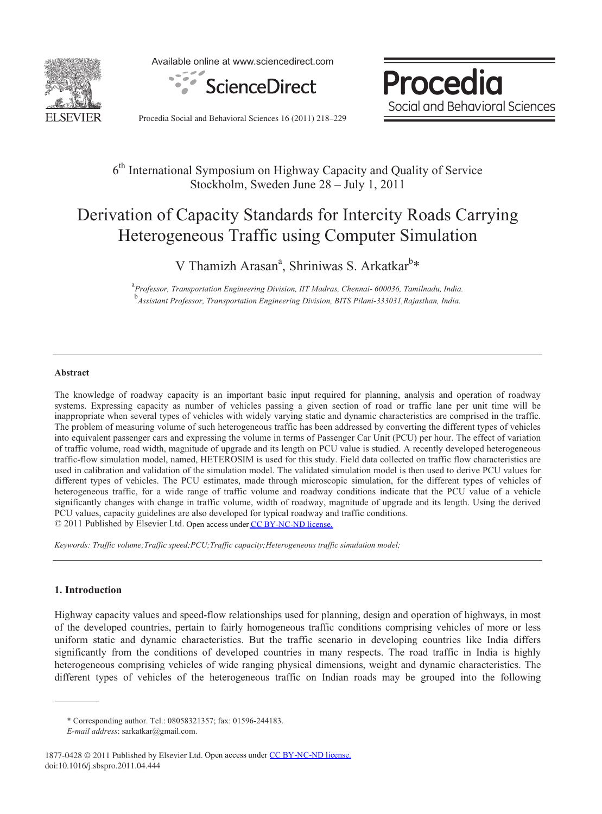

Available online at www.sciencedirect.com



Procedia Social and Behavioral Sciences

Procedia Social and Behavioral Sciences 16 (2011) 218–229

# 6th International Symposium on Highway Capacity and Quality of Service Stockholm, Sweden June 28 – July 1, 2011

# Derivation of Capacity Standards for Intercity Roads Carrying Heterogeneous Traffic using Computer Simulation

V Thamizh Arasan<sup>a</sup>, Shriniwas S. Arkatkar<sup>b</sup>\*

<sup>a</sup> Professor, Transportation Engineering Division, IIT Madras, Chennai- 600036, Tamilnadu, India. <sup>b</sup><br>Assistant Professor, Transportation Engineering Division, BITS Pilani-333031,Rajasthan, India.

#### **Abstract**

The knowledge of roadway capacity is an important basic input required for planning, analysis and operation of roadway systems. Expressing capacity as number of vehicles passing a given section of road or traffic lane per unit time will be inappropriate when several types of vehicles with widely varying static and dynamic characteristics are comprised in the traffic. The problem of measuring volume of such heterogeneous traffic has been addressed by converting the different types of vehicles into equivalent passenger cars and expressing the volume in terms of Passenger Car Unit (PCU) per hour. The effect of variation of traffic volume, road width, magnitude of upgrade and its length on PCU value is studied. A recently developed heterogeneous traffic-flow simulation model, named, HETEROSIM is used for this study. Field data collected on traffic flow characteristics are used in calibration and validation of the simulation model. The validated simulation model is then used to derive PCU values for different types of vehicles. The PCU estimates, made through microscopic simulation, for the different types of vehicles of heterogeneous traffic, for a wide range of traffic volume and roadway conditions indicate that the PCU value of a vehicle significantly changes with change in traffic volume, width of roadway, magnitude of upgrade and its length. Using the derived PCU values, capacity guidelines are also developed for typical roadway and traffic conditions. © 2011 Published by Elsevier Ltd. Open access under [CC BY-NC-ND license](http://creativecommons.org/licenses/by-nc-nd/3.0/).

*Keywords: Traffic volume;Traffic speed;PCU;Traffic capacity;Heterogeneous traffic simulation model;* 

#### **1. Introduction**

Highway capacity values and speed-flow relationships used for planning, design and operation of highways, in most of the developed countries, pertain to fairly homogeneous traffic conditions comprising vehicles of more or less uniform static and dynamic characteristics. But the traffic scenario in developing countries like India differs significantly from the conditions of developed countries in many respects. The road traffic in India is highly heterogeneous comprising vehicles of wide ranging physical dimensions, weight and dynamic characteristics. The different types of vehicles of the heterogeneous traffic on Indian roads may be grouped into the following

<sup>\*</sup> Corresponding author. Tel.: 08058321357; fax: 01596-244183.

*E-mail address*: sarkatkar@gmail.com.

<sup>1877-0428 © 2011</sup> Published by Elsevier Ltd. Open access under [CC BY-NC-ND license](http://creativecommons.org/licenses/by-nc-nd/3.0/).doi:10.1016/j.sbspro.2011.04.444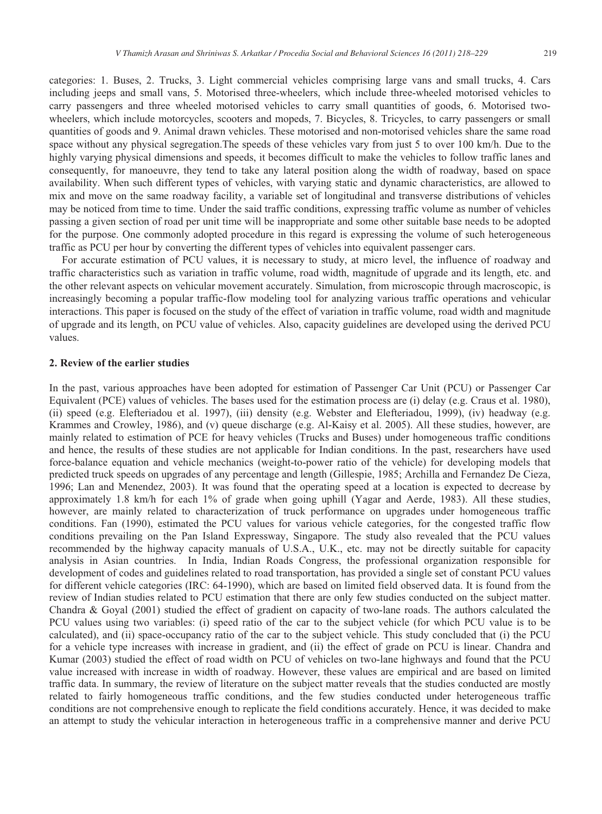categories: 1. Buses, 2. Trucks, 3. Light commercial vehicles comprising large vans and small trucks, 4. Cars including jeeps and small vans, 5. Motorised three-wheelers, which include three-wheeled motorised vehicles to carry passengers and three wheeled motorised vehicles to carry small quantities of goods, 6. Motorised twowheelers, which include motorcycles, scooters and mopeds, 7. Bicycles, 8. Tricycles, to carry passengers or small quantities of goods and 9. Animal drawn vehicles. These motorised and non-motorised vehicles share the same road space without any physical segregation.The speeds of these vehicles vary from just 5 to over 100 km/h. Due to the highly varying physical dimensions and speeds, it becomes difficult to make the vehicles to follow traffic lanes and consequently, for manoeuvre, they tend to take any lateral position along the width of roadway, based on space availability. When such different types of vehicles, with varying static and dynamic characteristics, are allowed to mix and move on the same roadway facility, a variable set of longitudinal and transverse distributions of vehicles may be noticed from time to time. Under the said traffic conditions, expressing traffic volume as number of vehicles passing a given section of road per unit time will be inappropriate and some other suitable base needs to be adopted for the purpose. One commonly adopted procedure in this regard is expressing the volume of such heterogeneous traffic as PCU per hour by converting the different types of vehicles into equivalent passenger cars.

For accurate estimation of PCU values, it is necessary to study, at micro level, the influence of roadway and traffic characteristics such as variation in traffic volume, road width, magnitude of upgrade and its length, etc. and the other relevant aspects on vehicular movement accurately. Simulation, from microscopic through macroscopic, is increasingly becoming a popular traffic-flow modeling tool for analyzing various traffic operations and vehicular interactions. This paper is focused on the study of the effect of variation in traffic volume, road width and magnitude of upgrade and its length, on PCU value of vehicles. Also, capacity guidelines are developed using the derived PCU values.

#### **2. Review of the earlier studies**

In the past, various approaches have been adopted for estimation of Passenger Car Unit (PCU) or Passenger Car Equivalent (PCE) values of vehicles. The bases used for the estimation process are (i) delay (e.g. Craus et al. 1980), (ii) speed (e.g. Elefteriadou et al. 1997), (iii) density (e.g. Webster and Elefteriadou, 1999), (iv) headway (e.g. Krammes and Crowley, 1986), and (v) queue discharge (e.g. Al-Kaisy et al. 2005). All these studies, however, are mainly related to estimation of PCE for heavy vehicles (Trucks and Buses) under homogeneous traffic conditions and hence, the results of these studies are not applicable for Indian conditions. In the past, researchers have used force-balance equation and vehicle mechanics (weight-to-power ratio of the vehicle) for developing models that predicted truck speeds on upgrades of any percentage and length (Gillespie, 1985; Archilla and Fernandez De Cieza, 1996; Lan and Menendez, 2003). It was found that the operating speed at a location is expected to decrease by approximately 1.8 km/h for each 1% of grade when going uphill (Yagar and Aerde, 1983). All these studies, however, are mainly related to characterization of truck performance on upgrades under homogeneous traffic conditions. Fan (1990), estimated the PCU values for various vehicle categories, for the congested traffic flow conditions prevailing on the Pan Island Expressway, Singapore. The study also revealed that the PCU values recommended by the highway capacity manuals of U.S.A., U.K., etc. may not be directly suitable for capacity analysis in Asian countries. In India, Indian Roads Congress, the professional organization responsible for development of codes and guidelines related to road transportation, has provided a single set of constant PCU values for different vehicle categories (IRC: 64-1990), which are based on limited field observed data. It is found from the review of Indian studies related to PCU estimation that there are only few studies conducted on the subject matter. Chandra & Goyal (2001) studied the effect of gradient on capacity of two-lane roads. The authors calculated the PCU values using two variables: (i) speed ratio of the car to the subject vehicle (for which PCU value is to be calculated), and (ii) space-occupancy ratio of the car to the subject vehicle. This study concluded that (i) the PCU for a vehicle type increases with increase in gradient, and (ii) the effect of grade on PCU is linear. Chandra and Kumar (2003) studied the effect of road width on PCU of vehicles on two-lane highways and found that the PCU value increased with increase in width of roadway. However, these values are empirical and are based on limited traffic data. In summary, the review of literature on the subject matter reveals that the studies conducted are mostly related to fairly homogeneous traffic conditions, and the few studies conducted under heterogeneous traffic conditions are not comprehensive enough to replicate the field conditions accurately. Hence, it was decided to make an attempt to study the vehicular interaction in heterogeneous traffic in a comprehensive manner and derive PCU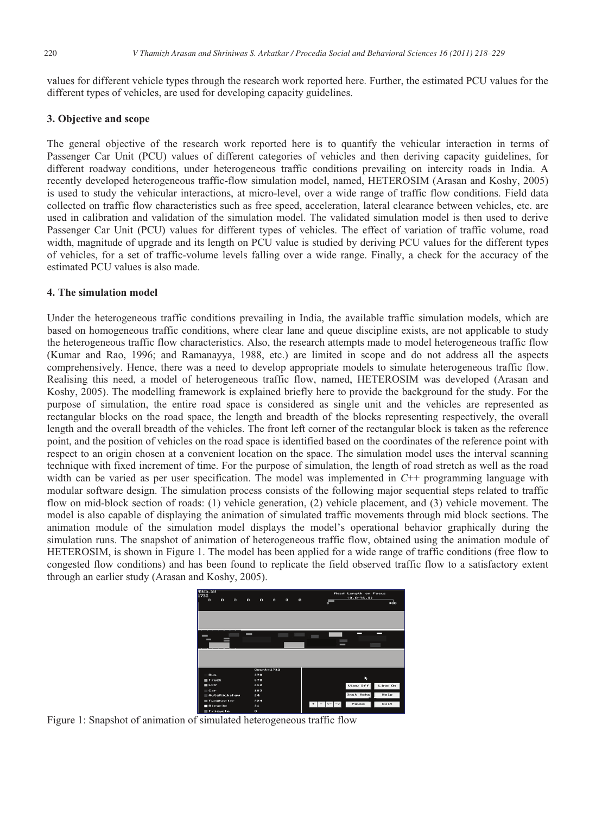values for different vehicle types through the research work reported here. Further, the estimated PCU values for the different types of vehicles, are used for developing capacity guidelines.

# **3. Objective and scope**

The general objective of the research work reported here is to quantify the vehicular interaction in terms of Passenger Car Unit (PCU) values of different categories of vehicles and then deriving capacity guidelines, for different roadway conditions, under heterogeneous traffic conditions prevailing on intercity roads in India. A recently developed heterogeneous traffic-flow simulation model, named, HETEROSIM (Arasan and Koshy, 2005) is used to study the vehicular interactions, at micro-level, over a wide range of traffic flow conditions. Field data collected on traffic flow characteristics such as free speed, acceleration, lateral clearance between vehicles, etc. are used in calibration and validation of the simulation model. The validated simulation model is then used to derive Passenger Car Unit (PCU) values for different types of vehicles. The effect of variation of traffic volume, road width, magnitude of upgrade and its length on PCU value is studied by deriving PCU values for the different types of vehicles, for a set of traffic-volume levels falling over a wide range. Finally, a check for the accuracy of the estimated PCU values is also made.

#### **4. The simulation model**

Under the heterogeneous traffic conditions prevailing in India, the available traffic simulation models, which are based on homogeneous traffic conditions, where clear lane and queue discipline exists, are not applicable to study the heterogeneous traffic flow characteristics. Also, the research attempts made to model heterogeneous traffic flow (Kumar and Rao, 1996; and Ramanayya, 1988, etc.) are limited in scope and do not address all the aspects comprehensively. Hence, there was a need to develop appropriate models to simulate heterogeneous traffic flow. Realising this need, a model of heterogeneous traffic flow, named, HETEROSIM was developed (Arasan and Koshy, 2005). The modelling framework is explained briefly here to provide the background for the study. For the purpose of simulation, the entire road space is considered as single unit and the vehicles are represented as rectangular blocks on the road space, the length and breadth of the blocks representing respectively, the overall length and the overall breadth of the vehicles. The front left corner of the rectangular block is taken as the reference point, and the position of vehicles on the road space is identified based on the coordinates of the reference point with respect to an origin chosen at a convenient location on the space. The simulation model uses the interval scanning technique with fixed increment of time. For the purpose of simulation, the length of road stretch as well as the road width can be varied as per user specification. The model was implemented in *C*++ programming language with modular software design. The simulation process consists of the following major sequential steps related to traffic flow on mid-block section of roads: (1) vehicle generation, (2) vehicle placement, and (3) vehicle movement. The model is also capable of displaying the animation of simulated traffic movements through mid block sections. The animation module of the simulation model displays the model's operational behavior graphically during the simulation runs. The snapshot of animation of heterogeneous traffic flow, obtained using the animation module of HETEROSIM, is shown in Figure 1. The model has been applied for a wide range of traffic conditions (free flow to congested flow conditions) and has been found to replicate the field observed traffic flow to a satisfactory extent through an earlier study (Arasan and Koshy, 2005).



Figure 1: Snapshot of animation of simulated heterogeneous traffic flow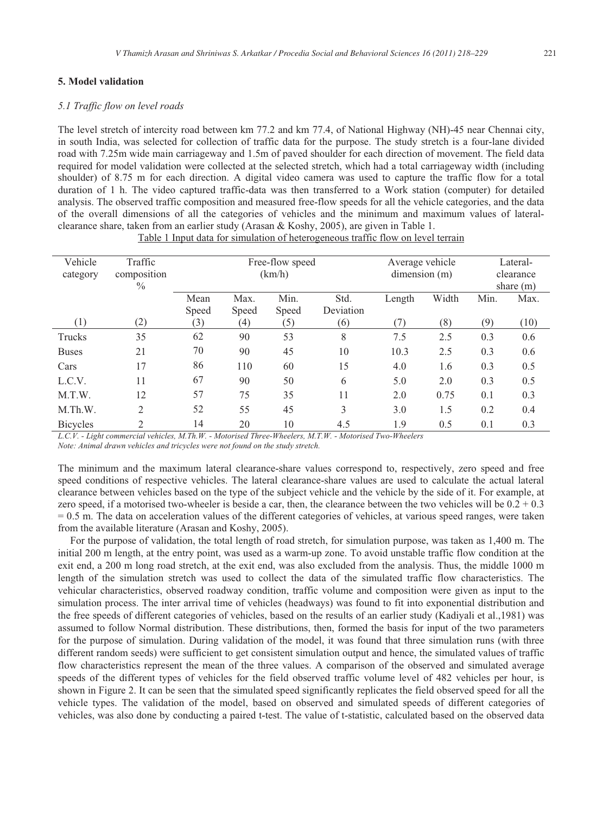# **5. Model validation**

#### *5.1 Traffic flow on level roads*

The level stretch of intercity road between km 77.2 and km 77.4, of National Highway (NH)-45 near Chennai city, in south India, was selected for collection of traffic data for the purpose. The study stretch is a four-lane divided road with 7.25m wide main carriageway and 1.5m of paved shoulder for each direction of movement. The field data required for model validation were collected at the selected stretch, which had a total carriageway width (including shoulder) of 8.75 m for each direction. A digital video camera was used to capture the traffic flow for a total duration of 1 h. The video captured traffic-data was then transferred to a Work station (computer) for detailed analysis. The observed traffic composition and measured free-flow speeds for all the vehicle categories, and the data of the overall dimensions of all the categories of vehicles and the minimum and maximum values of lateralclearance share, taken from an earlier study (Arasan & Koshy, 2005), are given in Table 1.

| Vehicle         | Traffic        |       |       | Free-flow speed |           | Average vehicle |       | Lateral-    |      |  |
|-----------------|----------------|-------|-------|-----------------|-----------|-----------------|-------|-------------|------|--|
| category        | composition    |       |       | (km/h)          |           | dimension(m)    |       | clearance   |      |  |
|                 | $\%$           |       |       |                 |           |                 |       | share $(m)$ |      |  |
|                 |                | Mean  | Max.  | Min.            | Std.      | Length          | Width | Min.        | Max. |  |
|                 |                | Speed | Speed | Speed           | Deviation |                 |       |             |      |  |
| (1)             | (2)            | (3)   | (4)   | (5)             | (6)       | (7)             | (8)   | (9)         | (10) |  |
| Trucks          | 35             | 62    | 90    | 53              | 8         | 7.5             | 2.5   | 0.3         | 0.6  |  |
| <b>Buses</b>    | 21             | 70    | 90    | 45              | 10        | 10.3            | 2.5   | 0.3         | 0.6  |  |
| Cars            | 17             | 86    | 110   | 60              | 15        | 4.0             | 1.6   | 0.3         | 0.5  |  |
| L.C.V.          | 11             | 67    | 90    | 50              | 6         | 5.0             | 2.0   | 0.3         | 0.5  |  |
| M.T.W.          | 12             | 57    | 75    | 35              | 11        | 2.0             | 0.75  | 0.1         | 0.3  |  |
| M.Th.W.         | $\overline{2}$ | 52    | 55    | 45              | 3         | 3.0             | 1.5   | 0.2         | 0.4  |  |
| <b>Bicycles</b> | $\mathcal{D}$  | 14    | 20    | 10              | 4.5       | 1.9             | 0.5   | 0.1         | 0.3  |  |

Table 1 Input data for simulation of heterogeneous traffic flow on level terrain

*L.C.V. - Light commercial vehicles, M.Th.W. - Motorised Three-Wheelers, M.T.W. - Motorised Two-Wheelers Note: Animal drawn vehicles and tricycles were not found on the study stretch.*

The minimum and the maximum lateral clearance-share values correspond to, respectively, zero speed and free speed conditions of respective vehicles. The lateral clearance-share values are used to calculate the actual lateral clearance between vehicles based on the type of the subject vehicle and the vehicle by the side of it. For example, at zero speed, if a motorised two-wheeler is beside a car, then, the clearance between the two vehicles will be  $0.2 + 0.3$ = 0.5 m. The data on acceleration values of the different categories of vehicles, at various speed ranges, were taken from the available literature (Arasan and Koshy, 2005).

For the purpose of validation, the total length of road stretch, for simulation purpose, was taken as  $1,400$  m. The initial 200 m length, at the entry point, was used as a warm-up zone. To avoid unstable traffic flow condition at the exit end, a 200 m long road stretch, at the exit end, was also excluded from the analysis. Thus, the middle 1000 m length of the simulation stretch was used to collect the data of the simulated traffic flow characteristics. The vehicular characteristics, observed roadway condition, traffic volume and composition were given as input to the simulation process. The inter arrival time of vehicles (headways) was found to fit into exponential distribution and the free speeds of different categories of vehicles, based on the results of an earlier study (Kadiyali et al.,1981) was assumed to follow Normal distribution. These distributions, then, formed the basis for input of the two parameters for the purpose of simulation. During validation of the model, it was found that three simulation runs (with three different random seeds) were sufficient to get consistent simulation output and hence, the simulated values of traffic flow characteristics represent the mean of the three values. A comparison of the observed and simulated average speeds of the different types of vehicles for the field observed traffic volume level of 482 vehicles per hour, is shown in Figure 2. It can be seen that the simulated speed significantly replicates the field observed speed for all the vehicle types. The validation of the model, based on observed and simulated speeds of different categories of vehicles, was also done by conducting a paired t-test. The value of t-statistic, calculated based on the observed data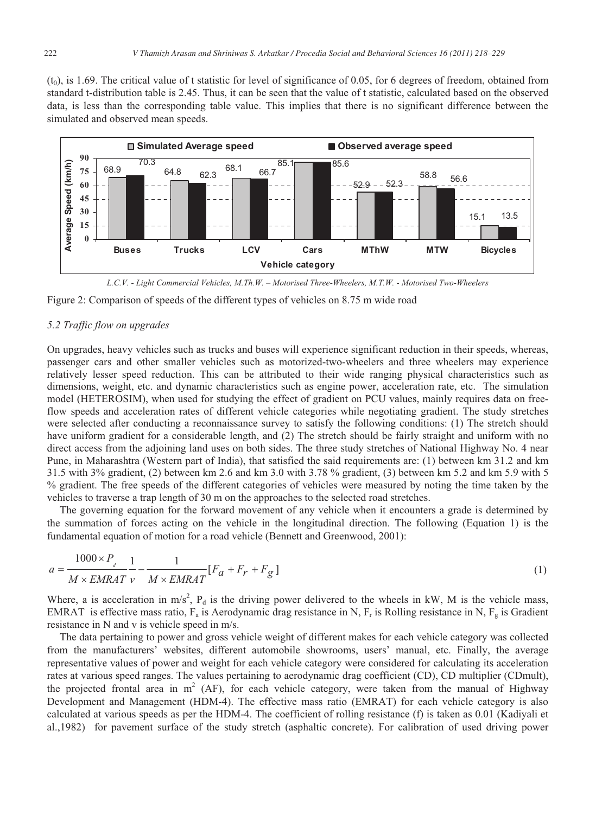$(t_0)$ , is 1.69. The critical value of t statistic for level of significance of 0.05, for 6 degrees of freedom, obtained from standard t-distribution table is 2.45. Thus, it can be seen that the value of t statistic, calculated based on the observed data, is less than the corresponding table value. This implies that there is no significant difference between the simulated and observed mean speeds.



*L.C.V. - Light Commercial Vehicles, M.Th.W. – Motorised Three-Wheelers, M.T.W. - Motorised Two-Wheelers* 

Figure 2: Comparison of speeds of the different types of vehicles on 8.75 m wide road

#### *5.2 Traffic flow on upgrades*

On upgrades, heavy vehicles such as trucks and buses will experience significant reduction in their speeds, whereas, passenger cars and other smaller vehicles such as motorized-two-wheelers and three wheelers may experience relatively lesser speed reduction. This can be attributed to their wide ranging physical characteristics such as dimensions, weight, etc. and dynamic characteristics such as engine power, acceleration rate, etc. The simulation model (HETEROSIM), when used for studying the effect of gradient on PCU values, mainly requires data on freeflow speeds and acceleration rates of different vehicle categories while negotiating gradient. The study stretches were selected after conducting a reconnaissance survey to satisfy the following conditions: (1) The stretch should have uniform gradient for a considerable length, and (2) The stretch should be fairly straight and uniform with no direct access from the adjoining land uses on both sides. The three study stretches of National Highway No. 4 near Pune, in Maharashtra (Western part of India), that satisfied the said requirements are: (1) between km 31.2 and km 31.5 with 3% gradient, (2) between km 2.6 and km 3.0 with 3.78 % gradient, (3) between km 5.2 and km 5.9 with 5 % gradient. The free speeds of the different categories of vehicles were measured by noting the time taken by the vehicles to traverse a trap length of 30 m on the approaches to the selected road stretches.

The governing equation for the forward movement of any vehicle when it encounters a grade is determined by the summation of forces acting on the vehicle in the longitudinal direction. The following (Equation 1) is the fundamental equation of motion for a road vehicle (Bennett and Greenwood, 2001):

$$
a = \frac{1000 \times P_a}{M \times EMRAT} \frac{1}{v} - \frac{1}{M \times EMRAT} [F_a + F_r + F_g]
$$
\n<sup>(1)</sup>

Where, a is acceleration in m/s<sup>2</sup>,  $P_d$  is the driving power delivered to the wheels in kW, M is the vehicle mass, EMRAT is effective mass ratio,  $F_a$  is Aerodynamic drag resistance in N,  $F_r$  is Rolling resistance in N,  $F_g$  is Gradient resistance in N and v is vehicle speed in m/s.

The data pertaining to power and gross vehicle weight of different makes for each vehicle category was collected from the manufacturers' websites, different automobile showrooms, users' manual, etc. Finally, the average representative values of power and weight for each vehicle category were considered for calculating its acceleration rates at various speed ranges. The values pertaining to aerodynamic drag coefficient (CD), CD multiplier (CDmult), the projected frontal area in  $m^2$  (AF), for each vehicle category, were taken from the manual of Highway Development and Management (HDM-4). The effective mass ratio (EMRAT) for each vehicle category is also calculated at various speeds as per the HDM-4. The coefficient of rolling resistance (f) is taken as 0.01 (Kadiyali et al.,1982) for pavement surface of the study stretch (asphaltic concrete). For calibration of used driving power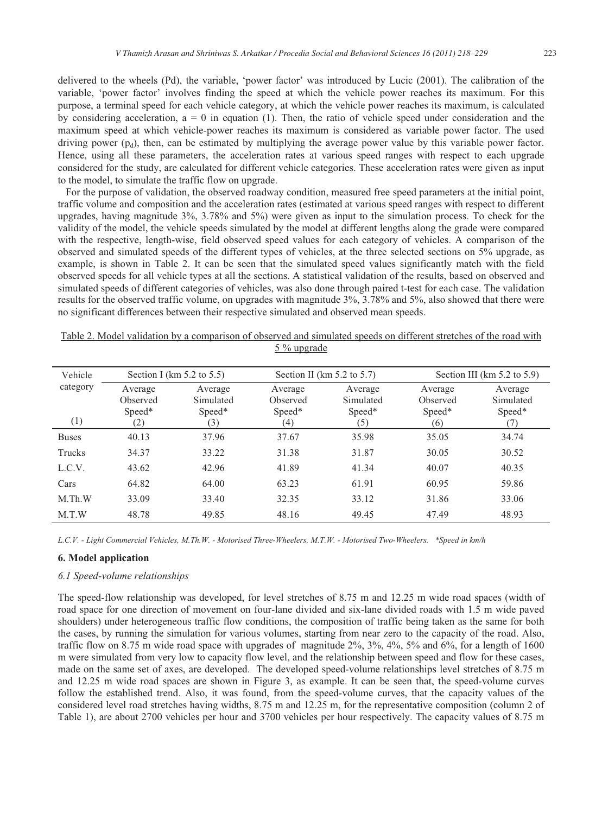delivered to the wheels (Pd), the variable, 'power factor' was introduced by Lucic (2001). The calibration of the variable, 'power factor' involves finding the speed at which the vehicle power reaches its maximum. For this purpose, a terminal speed for each vehicle category, at which the vehicle power reaches its maximum, is calculated by considering acceleration,  $a = 0$  in equation (1). Then, the ratio of vehicle speed under consideration and the maximum speed at which vehicle-power reaches its maximum is considered as variable power factor. The used driving power  $(p_d)$ , then, can be estimated by multiplying the average power value by this variable power factor. Hence, using all these parameters, the acceleration rates at various speed ranges with respect to each upgrade considered for the study, are calculated for different vehicle categories. These acceleration rates were given as input to the model, to simulate the traffic flow on upgrade.

 For the purpose of validation, the observed roadway condition, measured free speed parameters at the initial point, traffic volume and composition and the acceleration rates (estimated at various speed ranges with respect to different upgrades, having magnitude 3%, 3.78% and 5%) were given as input to the simulation process. To check for the validity of the model, the vehicle speeds simulated by the model at different lengths along the grade were compared with the respective, length-wise, field observed speed values for each category of vehicles. A comparison of the observed and simulated speeds of the different types of vehicles, at the three selected sections on 5% upgrade, as example, is shown in Table 2. It can be seen that the simulated speed values significantly match with the field observed speeds for all vehicle types at all the sections. A statistical validation of the results, based on observed and simulated speeds of different categories of vehicles, was also done through paired t-test for each case. The validation results for the observed traffic volume, on upgrades with magnitude 3%, 3.78% and 5%, also showed that there were no significant differences between their respective simulated and observed mean speeds.

| Vehicle         |                                      | Section I (km $5.2$ to $5.5$ )        |                                      | Section II ( $km 5.2$ to 5.7)         | Section III ( $km 5.2$ to $5.9$ )    |                                       |  |  |
|-----------------|--------------------------------------|---------------------------------------|--------------------------------------|---------------------------------------|--------------------------------------|---------------------------------------|--|--|
| category<br>(1) | Average<br>Observed<br>Speed*<br>(2) | Average<br>Simulated<br>Speed*<br>(3) | Average<br>Observed<br>Speed*<br>(4) | Average<br>Simulated<br>Speed*<br>(5) | Average<br>Observed<br>Speed*<br>(6) | Average<br>Simulated<br>Speed*<br>(7) |  |  |
| <b>Buses</b>    | 40.13                                | 37.96                                 | 37.67                                | 35.98                                 | 35.05                                | 34.74                                 |  |  |
| Trucks          | 34.37                                | 33.22                                 | 31.38                                | 31.87                                 | 30.05                                | 30.52                                 |  |  |
| L.C.V.          | 43.62                                | 42.96                                 | 41.89                                | 41.34                                 | 40.07                                | 40.35                                 |  |  |
| Cars            | 64.82                                | 64.00                                 | 63.23                                | 61.91                                 | 60.95                                | 59.86                                 |  |  |
| $M$ . Th. W     | 33.09                                | 33.40                                 | 32.35                                | 33.12                                 | 31.86                                | 33.06                                 |  |  |
| M.T.W           | 48.78                                | 49.85                                 | 48.16                                | 49.45                                 | 47.49                                | 48.93                                 |  |  |

|  |  |  |             | Table 2. Model validation by a comparison of observed and simulated speeds on different stretches of the road with |  |  |  |  |
|--|--|--|-------------|--------------------------------------------------------------------------------------------------------------------|--|--|--|--|
|  |  |  | 5 % upgrade |                                                                                                                    |  |  |  |  |

*L.C.V. - Light Commercial Vehicles, M.Th.W. - Motorised Three-Wheelers, M.T.W. - Motorised Two-Wheelers. \*Speed in km/h* 

# **6. Model application**

# *6.1 Speed-volume relationships*

The speed-flow relationship was developed, for level stretches of 8.75 m and 12.25 m wide road spaces (width of road space for one direction of movement on four-lane divided and six-lane divided roads with 1.5 m wide paved shoulders) under heterogeneous traffic flow conditions, the composition of traffic being taken as the same for both the cases, by running the simulation for various volumes, starting from near zero to the capacity of the road. Also, traffic flow on 8.75 m wide road space with upgrades of magnitude 2%, 3%, 4%, 5% and 6%, for a length of 1600 m were simulated from very low to capacity flow level, and the relationship between speed and flow for these cases, made on the same set of axes, are developed. The developed speed-volume relationships level stretches of 8.75 m and 12.25 m wide road spaces are shown in Figure 3, as example. It can be seen that, the speed-volume curves follow the established trend. Also, it was found, from the speed-volume curves, that the capacity values of the considered level road stretches having widths, 8.75 m and 12.25 m, for the representative composition (column 2 of Table 1), are about 2700 vehicles per hour and 3700 vehicles per hour respectively. The capacity values of 8.75 m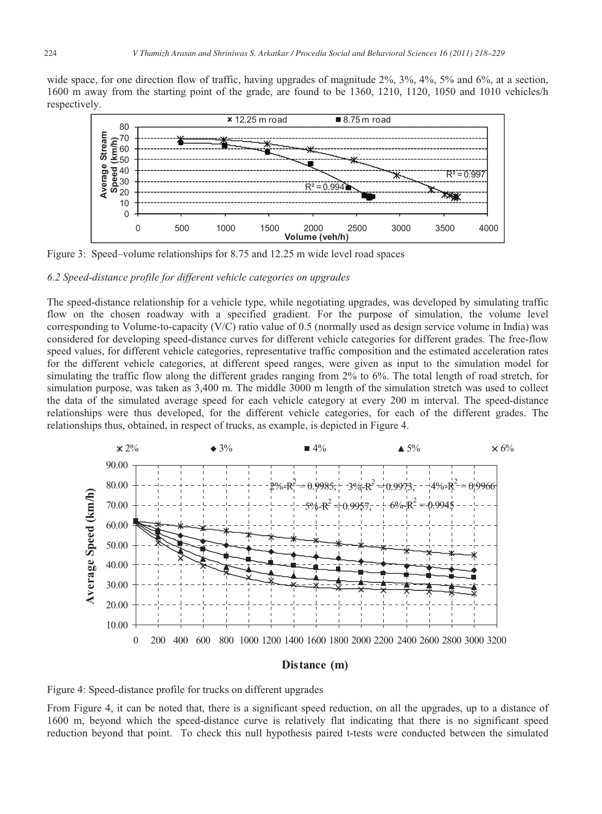wide space, for one direction flow of traffic, having upgrades of magnitude 2%, 3%, 4%, 5% and 6%, at a section, 1600 m away from the starting point of the grade, are found to be 1360, 1210, 1120, 1050 and 1010 vehicles/h respectively.



Figure 3: Speed–volume relationships for 8.75 and 12.25 m wide level road spaces

## *6.2 Speed-distance profile for different vehicle categories on upgrades*

The speed-distance relationship for a vehicle type, while negotiating upgrades, was developed by simulating traffic flow on the chosen roadway with a specified gradient. For the purpose of simulation, the volume level corresponding to Volume-to-capacity (V/C) ratio value of 0.5 (normally used as design service volume in India) was considered for developing speed-distance curves for different vehicle categories for different grades. The free-flow speed values, for different vehicle categories, representative traffic composition and the estimated acceleration rates for the different vehicle categories, at different speed ranges, were given as input to the simulation model for simulating the traffic flow along the different grades ranging from 2% to 6%. The total length of road stretch, for simulation purpose, was taken as 3,400 m. The middle 3000 m length of the simulation stretch was used to collect the data of the simulated average speed for each vehicle category at every 200 m interval. The speed-distance relationships were thus developed, for the different vehicle categories, for each of the different grades. The relationships thus, obtained, in respect of trucks, as example, is depicted in Figure 4.



#### **Distance (m)**

Figure 4: Speed-distance profile for trucks on different upgrades

From Figure 4, it can be noted that, there is a significant speed reduction, on all the upgrades, up to a distance of 1600 m, beyond which the speed-distance curve is relatively flat indicating that there is no significant speed reduction beyond that point. To check this null hypothesis paired t-tests were conducted between the simulated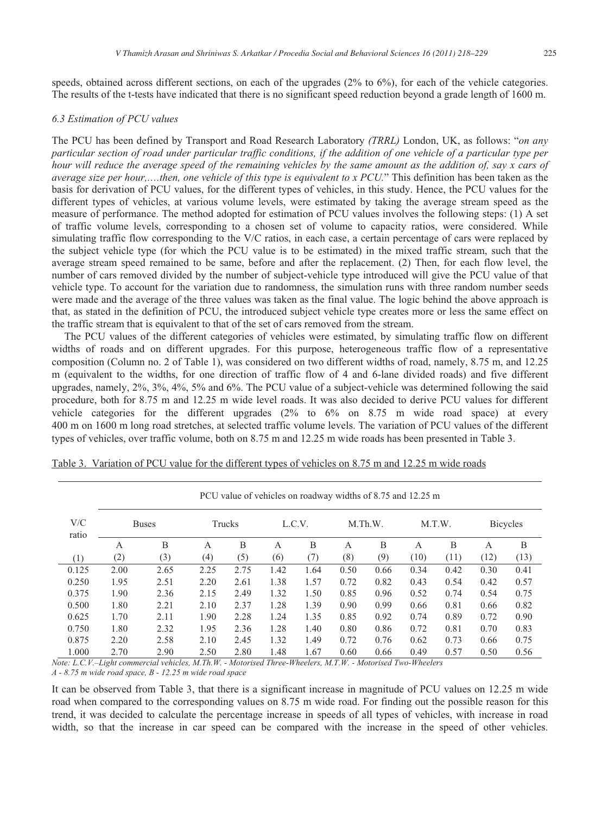speeds, obtained across different sections, on each of the upgrades (2% to 6%), for each of the vehicle categories. The results of the t-tests have indicated that there is no significant speed reduction beyond a grade length of 1600 m.

#### *6.3 Estimation of PCU values*

The PCU has been defined by Transport and Road Research Laboratory *(TRRL)* London, UK, as follows: "*on any particular section of road under particular traffic conditions, if the addition of one vehicle of a particular type per hour will reduce the average speed of the remaining vehicles by the same amount as the addition of, say x cars of average size per hour,….then, one vehicle of this type is equivalent to x PCU.*" This definition has been taken as the basis for derivation of PCU values, for the different types of vehicles, in this study. Hence, the PCU values for the different types of vehicles, at various volume levels, were estimated by taking the average stream speed as the measure of performance. The method adopted for estimation of PCU values involves the following steps: (1) A set of traffic volume levels, corresponding to a chosen set of volume to capacity ratios, were considered. While simulating traffic flow corresponding to the V/C ratios, in each case, a certain percentage of cars were replaced by the subject vehicle type (for which the PCU value is to be estimated) in the mixed traffic stream, such that the average stream speed remained to be same, before and after the replacement. (2) Then, for each flow level, the number of cars removed divided by the number of subject-vehicle type introduced will give the PCU value of that vehicle type. To account for the variation due to randomness, the simulation runs with three random number seeds were made and the average of the three values was taken as the final value. The logic behind the above approach is that, as stated in the definition of PCU, the introduced subject vehicle type creates more or less the same effect on the traffic stream that is equivalent to that of the set of cars removed from the stream.

The PCU values of the different categories of vehicles were estimated, by simulating traffic flow on different widths of roads and on different upgrades. For this purpose, heterogeneous traffic flow of a representative composition (Column no. 2 of Table 1), was considered on two different widths of road, namely, 8.75 m, and 12.25 m (equivalent to the widths, for one direction of traffic flow of 4 and 6-lane divided roads) and five different upgrades, namely, 2%, 3%, 4%, 5% and 6%. The PCU value of a subject-vehicle was determined following the said procedure, both for 8.75 m and 12.25 m wide level roads. It was also decided to derive PCU values for different vehicle categories for the different upgrades (2% to 6% on 8.75 m wide road space) at every 400 m on 1600 m long road stretches, at selected traffic volume levels. The variation of PCU values of the different types of vehicles, over traffic volume, both on 8.75 m and 12.25 m wide roads has been presented in Table 3.

|              | PCU value of vehicles on roadway widths of 8.75 and 12.25 m |      |        |      |        |      |         |      |        |      |                 |      |  |
|--------------|-------------------------------------------------------------|------|--------|------|--------|------|---------|------|--------|------|-----------------|------|--|
| V/C<br>ratio | <b>Buses</b>                                                |      | Trucks |      | L.C.V. |      | M.Th.W. |      | M.T.W. |      | <b>Bicycles</b> |      |  |
|              | А                                                           | B    | A      | B    | A      | B    | A       | B    | А      | B    | A               | B    |  |
| (1)          | (2)                                                         | (3)  | (4)    | (5)  | (6)    | (7)  | (8)     | (9)  | (10)   | (11) | (12)            | (13) |  |
| 0.125        | 2.00                                                        | 2.65 | 2.25   | 2.75 | 1.42   | 1.64 | 0.50    | 0.66 | 0.34   | 0.42 | 0.30            | 0.41 |  |
| 0.250        | 1.95                                                        | 2.51 | 2.20   | 2.61 | 1.38   | 1.57 | 0.72    | 0.82 | 0.43   | 0.54 | 0.42            | 0.57 |  |
| 0.375        | 1.90                                                        | 2.36 | 2.15   | 2.49 | 1.32   | 1.50 | 0.85    | 0.96 | 0.52   | 0.74 | 0.54            | 0.75 |  |
| 0.500        | 1.80                                                        | 2.21 | 2.10   | 2.37 | 1.28   | 1.39 | 0.90    | 0.99 | 0.66   | 0.81 | 0.66            | 0.82 |  |
| 0.625        | 1.70                                                        | 2.11 | 1.90   | 2.28 | 1.24   | 1.35 | 0.85    | 0.92 | 0.74   | 0.89 | 0.72            | 0.90 |  |
| 0.750        | 1.80                                                        | 2.32 | 1.95   | 2.36 | 1.28   | 1.40 | 0.80    | 0.86 | 0.72   | 0.81 | 0.70            | 0.83 |  |
| 0.875        | 2.20                                                        | 2.58 | 2.10   | 2.45 | 1.32   | 1.49 | 0.72    | 0.76 | 0.62   | 0.73 | 0.66            | 0.75 |  |
| 1.000        | 2.70                                                        | 2.90 | 2.50   | 2.80 | 1.48   | 1.67 | 0.60    | 0.66 | 0.49   | 0.57 | 0.50            | 0.56 |  |

Table 3. Variation of PCU value for the different types of vehicles on 8.75 m and 12.25 m wide roads

*Note: L.C.V.–Light commercial vehicles, M.Th.W. - Motorised Three-Wheelers, M.T.W. - Motorised Two-Wheelers A - 8.75 m wide road space, B - 12.25 m wide road space*

It can be observed from Table 3, that there is a significant increase in magnitude of PCU values on 12.25 m wide road when compared to the corresponding values on 8.75 m wide road. For finding out the possible reason for this trend, it was decided to calculate the percentage increase in speeds of all types of vehicles, with increase in road width, so that the increase in car speed can be compared with the increase in the speed of other vehicles.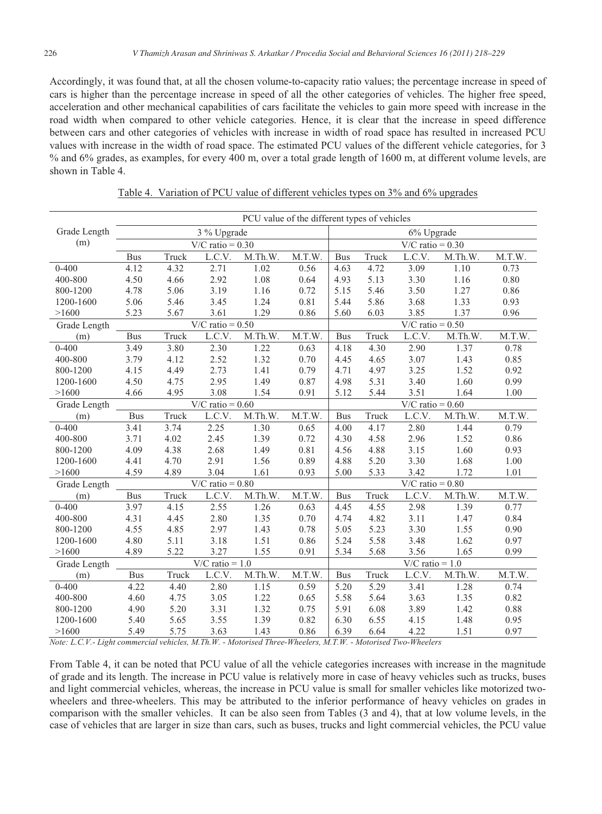Accordingly, it was found that, at all the chosen volume-to-capacity ratio values; the percentage increase in speed of cars is higher than the percentage increase in speed of all the other categories of vehicles. The higher free speed, acceleration and other mechanical capabilities of cars facilitate the vehicles to gain more speed with increase in the road width when compared to other vehicle categories. Hence, it is clear that the increase in speed difference between cars and other categories of vehicles with increase in width of road space has resulted in increased PCU values with increase in the width of road space. The estimated PCU values of the different vehicle categories, for 3 % and 6% grades, as examples, for every 400 m, over a total grade length of 1600 m, at different volume levels, are shown in Table 4.

|              | PCU value of the different types of vehicles |       |                               |         |        |                    |                    |                    |         |        |  |  |
|--------------|----------------------------------------------|-------|-------------------------------|---------|--------|--------------------|--------------------|--------------------|---------|--------|--|--|
| Grade Length |                                              |       | 3 % Upgrade                   |         |        | 6% Upgrade         |                    |                    |         |        |  |  |
| (m)          | $V/C$ ratio = 0.30                           |       |                               |         |        |                    | $V/C$ ratio = 0.30 |                    |         |        |  |  |
|              | <b>Bus</b>                                   | Truck | L.C.V.                        | M.Th.W. | M.T.W. | <b>Bus</b>         | Truck              | L.C.V.             | M.Th.W. | M.T.W. |  |  |
| $0 - 400$    | 4.12                                         | 4.32  | 2.71                          | 1.02    | 0.56   | 4.63               | 4.72               | 3.09               | 1.10    | 0.73   |  |  |
| 400-800      | 4.50                                         | 4.66  | 2.92                          | 1.08    | 0.64   | 4.93               | 5.13               | 3.30               | 1.16    | 0.80   |  |  |
| 800-1200     | 4.78                                         | 5.06  | 3.19                          | 1.16    | 0.72   | 5.15               | 5.46               | 3.50               | 1.27    | 0.86   |  |  |
| 1200-1600    | 5.06                                         | 5.46  | 3.45                          | 1.24    | 0.81   | 5.44               | 5.86               | 3.68               | 1.33    | 0.93   |  |  |
| >1600        | 5.23                                         | 5.67  | 3.61                          | 1.29    | 0.86   | 5.60               | 6.03               | 3.85               | 1.37    | 0.96   |  |  |
| Grade Length |                                              |       | $\overline{V/C}$ ratio = 0.50 |         |        |                    |                    | V/C ratio = $0.50$ |         |        |  |  |
| (m)          | <b>Bus</b>                                   | Truck | L.C.V.                        | M.Th.W. | M.T.W. | <b>Bus</b>         | Truck              | L.C.V.             | M.Th.W. | M.T.W. |  |  |
| $0 - 400$    | 3.49                                         | 3.80  | 2.30                          | 1.22    | 0.63   | 4.18               | 4.30               | 2.90               | 1.37    | 0.78   |  |  |
| 400-800      | 3.79                                         | 4.12  | 2.52                          | 1.32    | 0.70   | 4.45               | 4.65               | 3.07               | 1.43    | 0.85   |  |  |
| 800-1200     | 4.15                                         | 4.49  | 2.73                          | 1.41    | 0.79   | 4.71               | 4.97               | 3.25               | 1.52    | 0.92   |  |  |
| 1200-1600    | 4.50                                         | 4.75  | 2.95                          | 1.49    | 0.87   | 4.98               | 5.31               | 3.40               | 1.60    | 0.99   |  |  |
| >1600        | 4.66                                         | 4.95  | 3.08                          | 1.54    | 0.91   | 5.12               | 5.44               | 3.51               | 1.64    | 1.00   |  |  |
| Grade Length | $\overline{V/C}$ ratio = 0.60                |       |                               |         |        |                    | $V/C$ ratio = 0.60 |                    |         |        |  |  |
| (m)          | <b>Bus</b>                                   | Truck | L.C.V.                        | M.Th.W. | M.T.W. | <b>Bus</b>         | Truck              | L.C.V.             | M.Th.W. | M.T.W. |  |  |
| $0 - 400$    | 3.41                                         | 3.74  | 2.25                          | 1.30    | 0.65   | 4.00               | 4.17               | 2.80               | 1.44    | 0.79   |  |  |
| 400-800      | 3.71                                         | 4.02  | 2.45                          | 1.39    | 0.72   | 4.30               | 4.58               | 2.96               | 1.52    | 0.86   |  |  |
| 800-1200     | 4.09                                         | 4.38  | 2.68                          | 1.49    | 0.81   | 4.56               | 4.88               | 3.15               | 1.60    | 0.93   |  |  |
| 1200-1600    | 4.41                                         | 4.70  | 2.91                          | 1.56    | 0.89   | 4.88               | 5.20               | 3.30               | 1.68    | 1.00   |  |  |
| >1600        | 4.59                                         | 4.89  | 3.04                          | 1.61    | 0.93   | 5.00               | 5.33               | 3.42               | 1.72    | 1.01   |  |  |
| Grade Length |                                              |       | $\overline{V/C}$ ratio = 0.80 |         |        | $V/C$ ratio = 0.80 |                    |                    |         |        |  |  |
| (m)          | <b>Bus</b>                                   | Truck | L.C.V.                        | M.Th.W. | M.T.W. | <b>Bus</b>         | Truck              | L.C.V.             | M.Th.W. | M.T.W. |  |  |
| $0 - 400$    | 3.97                                         | 4.15  | 2.55                          | 1.26    | 0.63   | 4.45               | 4.55               | 2.98               | 1.39    | 0.77   |  |  |
| 400-800      | 4.31                                         | 4.45  | 2.80                          | 1.35    | 0.70   | 4.74               | 4.82               | 3.11               | 1.47    | 0.84   |  |  |
| 800-1200     | 4.55                                         | 4.85  | 2.97                          | 1.43    | 0.78   | 5.05               | 5.23               | 3.30               | 1.55    | 0.90   |  |  |
| 1200-1600    | 4.80                                         | 5.11  | 3.18                          | 1.51    | 0.86   | 5.24               | 5.58               | 3.48               | 1.62    | 0.97   |  |  |
| >1600        | 4.89                                         | 5.22  | 3.27                          | 1.55    | 0.91   | 5.34               | 5.68               | 3.56               | 1.65    | 0.99   |  |  |
| Grade Length |                                              |       | $\overline{V/C}$ ratio = 1.0  |         |        | $V/C$ ratio = 1.0  |                    |                    |         |        |  |  |
| (m)          | <b>Bus</b>                                   | Truck | L.C.V.                        | M.Th.W. | M.T.W. | <b>Bus</b>         | Truck              | L.C.V.             | M.Th.W. | M.T.W. |  |  |
| $0 - 400$    | 4.22                                         | 4.40  | 2.80                          | 1.15    | 0.59   | 5.20               | 5.29               | 3.41               | 1.28    | 0.74   |  |  |
| 400-800      | 4.60                                         | 4.75  | 3.05                          | 1.22    | 0.65   | 5.58               | 5.64               | 3.63               | 1.35    | 0.82   |  |  |
| 800-1200     | 4.90                                         | 5.20  | 3.31                          | 1.32    | 0.75   | 5.91               | 6.08               | 3.89               | 1.42    | 0.88   |  |  |
| 1200-1600    | 5.40                                         | 5.65  | 3.55                          | 1.39    | 0.82   | 6.30               | 6.55               | 4.15               | 1.48    | 0.95   |  |  |
| >1600        | 5.49                                         | 5.75  | 3.63                          | 1.43    | 0.86   | 6.39               | 6.64               | 4.22               | 1.51    | 0.97   |  |  |

Table 4. Variation of PCU value of different vehicles types on 3% and 6% upgrades

*Note: L.C.V.- Light commercial vehicles, M.Th.W. - Motorised Three-Wheelers, M.T.W. - Motorised Two-Wheelers* 

From Table 4, it can be noted that PCU value of all the vehicle categories increases with increase in the magnitude of grade and its length. The increase in PCU value is relatively more in case of heavy vehicles such as trucks, buses and light commercial vehicles, whereas, the increase in PCU value is small for smaller vehicles like motorized twowheelers and three-wheelers. This may be attributed to the inferior performance of heavy vehicles on grades in comparison with the smaller vehicles. It can be also seen from Tables (3 and 4), that at low volume levels, in the case of vehicles that are larger in size than cars, such as buses, trucks and light commercial vehicles, the PCU value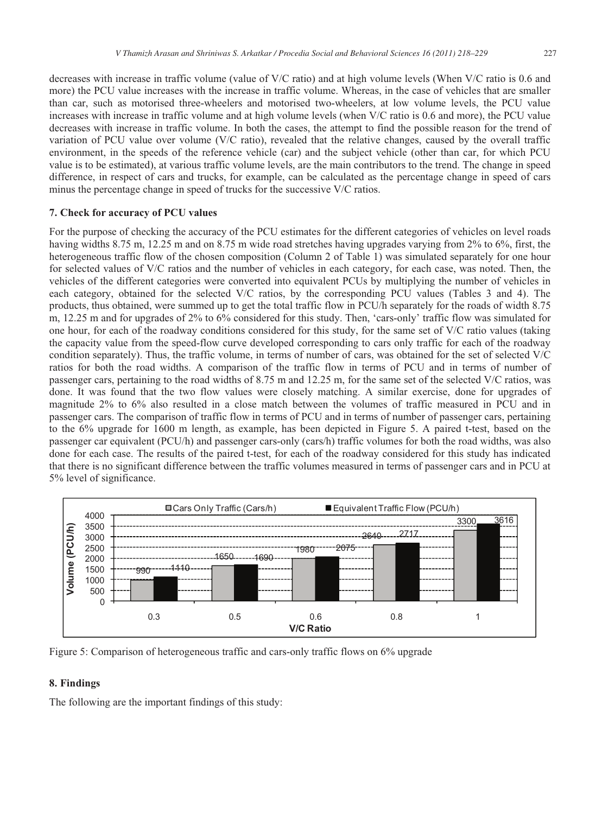decreases with increase in traffic volume (value of V/C ratio) and at high volume levels (When V/C ratio is 0.6 and more) the PCU value increases with the increase in traffic volume. Whereas, in the case of vehicles that are smaller than car, such as motorised three-wheelers and motorised two-wheelers, at low volume levels, the PCU value increases with increase in traffic volume and at high volume levels (when V/C ratio is 0.6 and more), the PCU value decreases with increase in traffic volume. In both the cases, the attempt to find the possible reason for the trend of variation of PCU value over volume (V/C ratio), revealed that the relative changes, caused by the overall traffic environment, in the speeds of the reference vehicle (car) and the subject vehicle (other than car, for which PCU value is to be estimated), at various traffic volume levels, are the main contributors to the trend. The change in speed difference, in respect of cars and trucks, for example, can be calculated as the percentage change in speed of cars minus the percentage change in speed of trucks for the successive V/C ratios.

# **7. Check for accuracy of PCU values**

For the purpose of checking the accuracy of the PCU estimates for the different categories of vehicles on level roads having widths 8.75 m, 12.25 m and on 8.75 m wide road stretches having upgrades varying from 2% to 6%, first, the heterogeneous traffic flow of the chosen composition (Column 2 of Table 1) was simulated separately for one hour for selected values of V/C ratios and the number of vehicles in each category, for each case, was noted. Then, the vehicles of the different categories were converted into equivalent PCUs by multiplying the number of vehicles in each category, obtained for the selected V/C ratios, by the corresponding PCU values (Tables 3 and 4). The products, thus obtained, were summed up to get the total traffic flow in PCU/h separately for the roads of width 8.75 m, 12.25 m and for upgrades of 2% to 6% considered for this study. Then, 'cars-only' traffic flow was simulated for one hour, for each of the roadway conditions considered for this study, for the same set of V/C ratio values (taking the capacity value from the speed-flow curve developed corresponding to cars only traffic for each of the roadway condition separately). Thus, the traffic volume, in terms of number of cars, was obtained for the set of selected V/C ratios for both the road widths. A comparison of the traffic flow in terms of PCU and in terms of number of passenger cars, pertaining to the road widths of 8.75 m and 12.25 m, for the same set of the selected V/C ratios, was done. It was found that the two flow values were closely matching. A similar exercise, done for upgrades of magnitude 2% to 6% also resulted in a close match between the volumes of traffic measured in PCU and in passenger cars. The comparison of traffic flow in terms of PCU and in terms of number of passenger cars, pertaining to the 6% upgrade for 1600 m length, as example, has been depicted in Figure 5. A paired t-test, based on the passenger car equivalent (PCU/h) and passenger cars-only (cars/h) traffic volumes for both the road widths, was also done for each case. The results of the paired t-test, for each of the roadway considered for this study has indicated that there is no significant difference between the traffic volumes measured in terms of passenger cars and in PCU at 5% level of significance.



Figure 5: Comparison of heterogeneous traffic and cars-only traffic flows on 6% upgrade

# **8. Findings**

The following are the important findings of this study: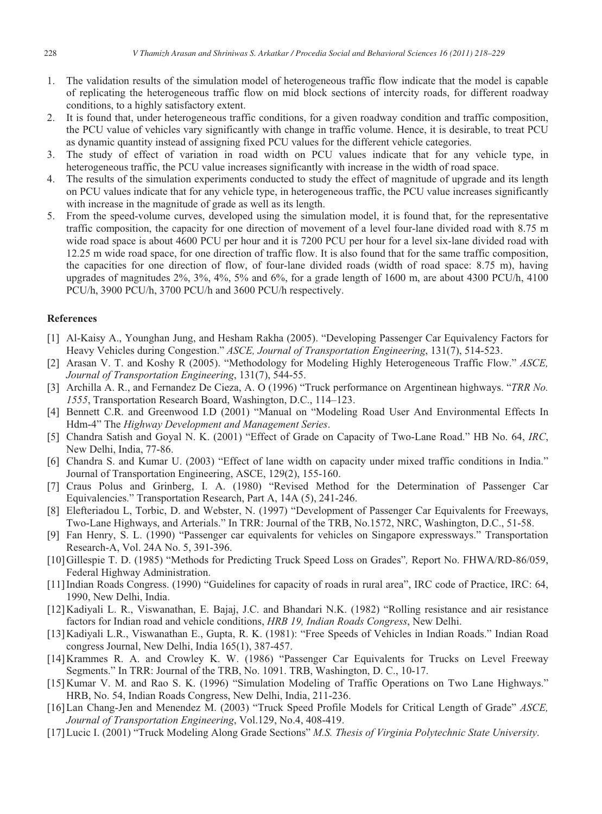- 1. The validation results of the simulation model of heterogeneous traffic flow indicate that the model is capable of replicating the heterogeneous traffic flow on mid block sections of intercity roads, for different roadway conditions, to a highly satisfactory extent.
- 2. It is found that, under heterogeneous traffic conditions, for a given roadway condition and traffic composition, the PCU value of vehicles vary significantly with change in traffic volume. Hence, it is desirable, to treat PCU as dynamic quantity instead of assigning fixed PCU values for the different vehicle categories.
- 3. The study of effect of variation in road width on PCU values indicate that for any vehicle type, in heterogeneous traffic, the PCU value increases significantly with increase in the width of road space.
- 4. The results of the simulation experiments conducted to study the effect of magnitude of upgrade and its length on PCU values indicate that for any vehicle type, in heterogeneous traffic, the PCU value increases significantly with increase in the magnitude of grade as well as its length.
- 5. From the speed-volume curves, developed using the simulation model, it is found that, for the representative traffic composition, the capacity for one direction of movement of a level four-lane divided road with 8.75 m wide road space is about 4600 PCU per hour and it is 7200 PCU per hour for a level six-lane divided road with 12.25 m wide road space, for one direction of traffic flow. It is also found that for the same traffic composition, the capacities for one direction of flow, of four-lane divided roads (width of road space: 8.75 m), having upgrades of magnitudes 2%, 3%, 4%, 5% and 6%, for a grade length of 1600 m, are about 4300 PCU/h, 4100 PCU/h, 3900 PCU/h, 3700 PCU/h and 3600 PCU/h respectively.

#### **References**

- [1] Al-Kaisy A., Younghan Jung, and Hesham Rakha (2005). "Developing Passenger Car Equivalency Factors for Heavy Vehicles during Congestion." *ASCE, Journal of Transportation Engineering*, 131(7), 514-523.
- [2] Arasan V. T. and Koshy R (2005). "Methodology for Modeling Highly Heterogeneous Traffic Flow." *ASCE, Journal of Transportation Engineering*, 131(7), 544-55.
- [3] Archilla A. R., and Fernandez De Cieza, A. O (1996) "Truck performance on Argentinean highways. "*TRR No. 1555*, Transportation Research Board, Washington, D.C., 114–123.
- [4] Bennett C.R. and Greenwood I.D (2001) "Manual on "Modeling Road User And Environmental Effects In Hdm-4" The *Highway Development and Management Series*.
- [5] Chandra Satish and Goyal N. K. (2001) "Effect of Grade on Capacity of Two-Lane Road." HB No. 64, *IRC*, New Delhi, India, 77-86.
- [6] Chandra S. and Kumar U. (2003) "Effect of lane width on capacity under mixed traffic conditions in India." Journal of Transportation Engineering, ASCE, 129(2), 155-160.
- [7] Craus Polus and Grinberg, I. A. (1980) "Revised Method for the Determination of Passenger Car Equivalencies." Transportation Research, Part A, 14A (5), 241-246.
- [8] Elefteriadou L, Torbic, D. and Webster, N. (1997) "Development of Passenger Car Equivalents for Freeways, Two-Lane Highways, and Arterials." In TRR: Journal of the TRB, No.1572, NRC, Washington, D.C., 51-58.
- [9] Fan Henry, S. L. (1990) "Passenger car equivalents for vehicles on Singapore expressways." Transportation Research-A, Vol. 24A No. 5, 391-396.
- [10] Gillespie T. D. (1985) "Methods for Predicting Truck Speed Loss on Grades"*,* Report No. FHWA/RD-86/059, Federal Highway Administration.
- [11] Indian Roads Congress. (1990) "Guidelines for capacity of roads in rural area", IRC code of Practice, IRC: 64, 1990, New Delhi, India.
- [12] Kadiyali L. R., Viswanathan, E. Bajaj, J.C. and Bhandari N.K. (1982) "Rolling resistance and air resistance factors for Indian road and vehicle conditions, *HRB 19, Indian Roads Congress*, New Delhi.
- [13] Kadiyali L.R., Viswanathan E., Gupta, R. K. (1981): "Free Speeds of Vehicles in Indian Roads." Indian Road congress Journal, New Delhi, India 165(1), 387-457.
- [14] Krammes R. A. and Crowley K. W. (1986) "Passenger Car Equivalents for Trucks on Level Freeway Segments." In TRR: Journal of the TRB, No. 1091. TRB, Washington, D. C., 10-17.
- [15] Kumar V. M. and Rao S. K. (1996) "Simulation Modeling of Traffic Operations on Two Lane Highways." HRB, No. 54, Indian Roads Congress, New Delhi, India, 211-236.
- [16] Lan Chang-Jen and Menendez M. (2003) "Truck Speed Profile Models for Critical Length of Grade" *ASCE, Journal of Transportation Engineering*, Vol.129, No.4, 408-419.
- [17] Lucic I. (2001) "Truck Modeling Along Grade Sections" *M.S. Thesis of Virginia Polytechnic State University*.